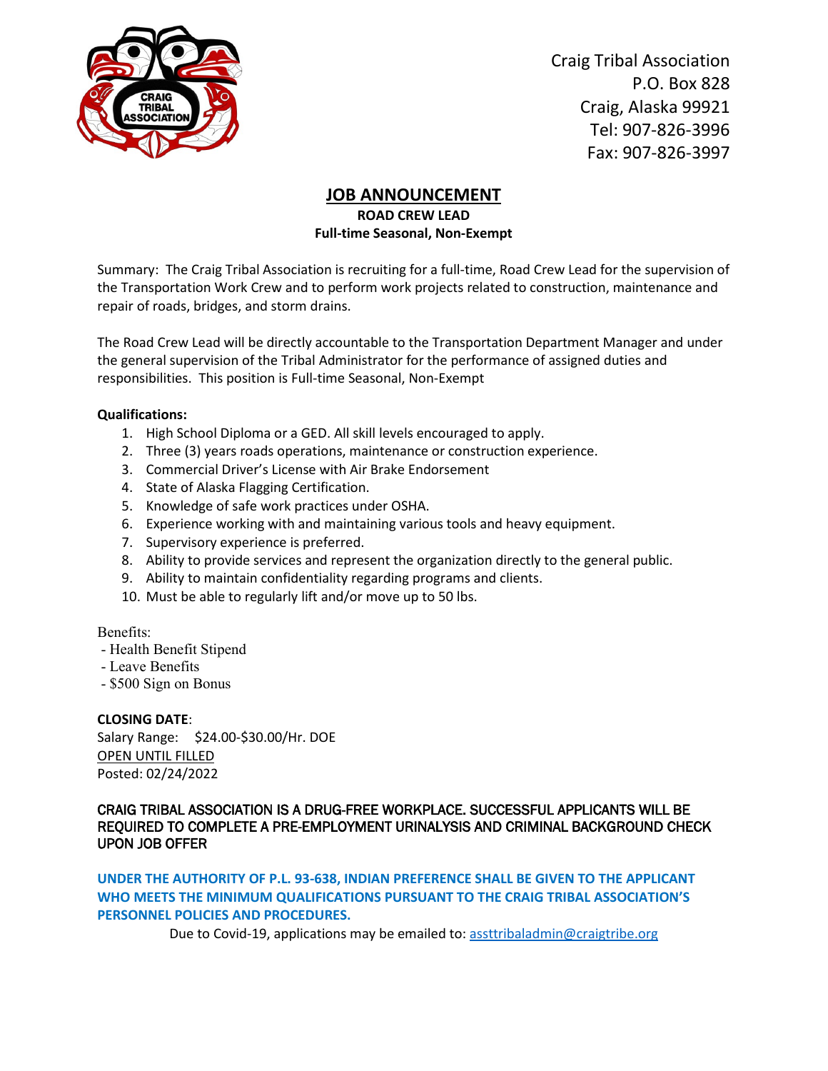

Craig Tribal Association P.O. Box 828 Craig, Alaska 99921 [Tel: 907-826-3996](tel:907-826-3996) Fax: 907-826-3997

## **JOB ANNOUNCEMENT**

**ROAD CREW LEAD Full-time Seasonal, Non-Exempt**

Summary: The Craig Tribal Association is recruiting for a full-time, Road Crew Lead for the supervision of the Transportation Work Crew and to perform work projects related to construction, maintenance and repair of roads, bridges, and storm drains.

The Road Crew Lead will be directly accountable to the Transportation Department Manager and under the general supervision of the Tribal Administrator for the performance of assigned duties and responsibilities. This position is Full-time Seasonal, Non-Exempt

## **Qualifications:**

- 1. High School Diploma or a GED. All skill levels encouraged to apply.
- 2. Three (3) years roads operations, maintenance or construction experience.
- 3. Commercial Driver's License with Air Brake Endorsement
- 4. State of Alaska Flagging Certification.
- 5. Knowledge of safe work practices under OSHA.
- 6. Experience working with and maintaining various tools and heavy equipment.
- 7. Supervisory experience is preferred.
- 8. Ability to provide services and represent the organization directly to the general public.
- 9. Ability to maintain confidentiality regarding programs and clients.
- 10. Must be able to regularly lift and/or move up to 50 lbs.

Benefits:

- Health Benefit Stipend
- Leave Benefits
- \$500 Sign on Bonus

## **CLOSING DATE**:

Salary Range: \$24.00-\$30.00/Hr. DOE OPEN UNTIL FILLED Posted: 02/24/2022

CRAIG TRIBAL ASSOCIATION IS A DRUG-FREE WORKPLACE. SUCCESSFUL APPLICANTS WILL BE REQUIRED TO COMPLETE A PRE-EMPLOYMENT URINALYSIS AND CRIMINAL BACKGROUND CHECK UPON JOB OFFER

**UNDER THE AUTHORITY OF P.L. 93-638, INDIAN PREFERENCE SHALL BE GIVEN TO THE APPLICANT WHO MEETS THE MINIMUM QUALIFICATIONS PURSUANT TO THE CRAIG TRIBAL ASSOCIATION'S PERSONNEL POLICIES AND PROCEDURES.**

Due to Covid-19, applications may be emailed to: [assttribaladmin@craigtribe.org](mailto:assttribaladmin@craigtribe.org)